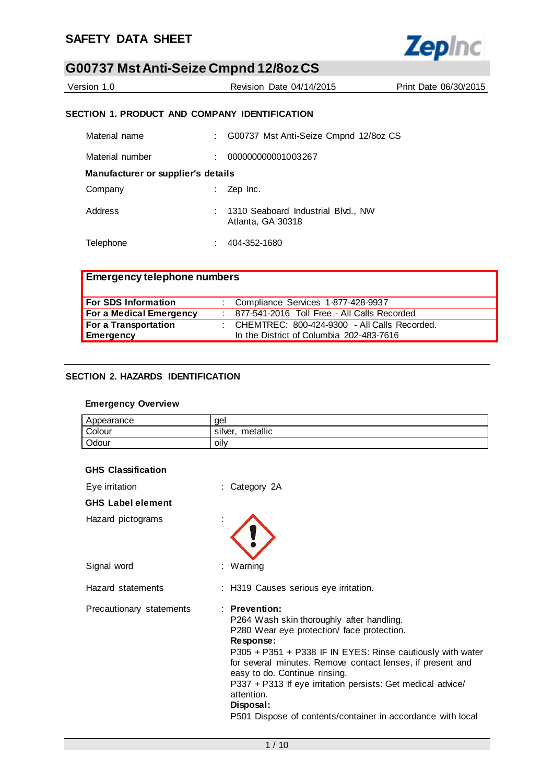

| Version 1.0 | Revision Date 04/14/2015 | Print Date 06/30/2015 |
|-------------|--------------------------|-----------------------|
|             |                          |                       |

### **SECTION 1. PRODUCT AND COMPANY IDENTIFICATION**

| Material name                      | G00737 Mst Anti-Seize Cmpnd 12/8oz CS                   |
|------------------------------------|---------------------------------------------------------|
| Material number                    | 000000000001003267                                      |
| Manufacturer or supplier's details |                                                         |
| Company                            | Zep Inc.                                                |
| Address                            | 1310 Seaboard Industrial Blvd., NW<br>Atlanta, GA 30318 |
| Telephone                          | 404-352-1680                                            |

| <b>Emergency telephone numbers</b> |  |                                                  |  |
|------------------------------------|--|--------------------------------------------------|--|
| <b>For SDS Information</b>         |  | : Compliance Services 1-877-428-9937             |  |
| For a Medical Emergency            |  | : 877-541-2016 Toll Free - All Calls Recorded    |  |
| For a Transportation               |  | : CHEMTREC: $800-424-9300$ - All Calls Recorded. |  |
| Emergency                          |  | In the District of Columbia 202-483-7616         |  |

### **SECTION 2. HAZARDS IDENTIFICATION**

### **Emergency Overview**

| Appearance | gel                    |
|------------|------------------------|
| Colour     | <br>metallic<br>silver |
| Odour      | <br>olly               |

| <b>GHS Classification</b> |                                                                                                                                                                                                                                                                                                                                                                                                                                             |
|---------------------------|---------------------------------------------------------------------------------------------------------------------------------------------------------------------------------------------------------------------------------------------------------------------------------------------------------------------------------------------------------------------------------------------------------------------------------------------|
| Eye irritation            | : Category 2A                                                                                                                                                                                                                                                                                                                                                                                                                               |
| <b>GHS Label element</b>  |                                                                                                                                                                                                                                                                                                                                                                                                                                             |
| Hazard pictograms         |                                                                                                                                                                                                                                                                                                                                                                                                                                             |
| Signal word               | : Warning                                                                                                                                                                                                                                                                                                                                                                                                                                   |
| Hazard statements         | : H319 Causes serious eye irritation.                                                                                                                                                                                                                                                                                                                                                                                                       |
| Precautionary statements  | : Prevention:<br>P264 Wash skin thoroughly after handling.<br>P280 Wear eye protection/ face protection.<br>Response:<br>P305 + P351 + P338 IF IN EYES: Rinse cautiously with water<br>for several minutes. Remove contact lenses, if present and<br>easy to do. Continue rinsing.<br>P337 + P313 If eye irritation persists: Get medical advice/<br>attention.<br>Disposal:<br>P501 Dispose of contents/container in accordance with local |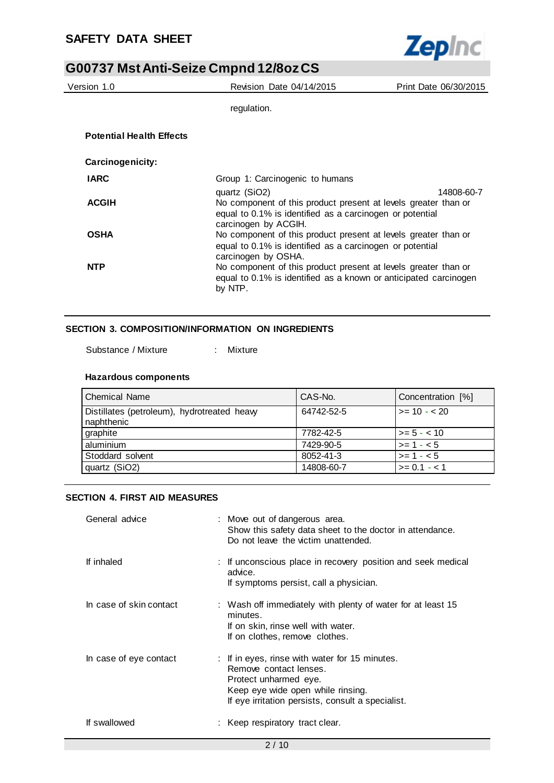

| Version 1.0                                                                     | Revision Date 04/14/2015                                                         | Print Date 06/30/2015 |
|---------------------------------------------------------------------------------|----------------------------------------------------------------------------------|-----------------------|
|                                                                                 | regulation.                                                                      |                       |
| <b>Potential Health Effects</b>                                                 |                                                                                  |                       |
| Carcinogenicity:                                                                |                                                                                  |                       |
| <b>IARC</b>                                                                     | Group 1: Carcinogenic to humans                                                  |                       |
|                                                                                 | quartz (SiO2)                                                                    | 14808-60-7            |
| <b>ACGIH</b>                                                                    | No component of this product present at levels greater than or                   |                       |
|                                                                                 | equal to 0.1% is identified as a carcinogen or potential<br>carcinogen by ACGIH. |                       |
| <b>OSHA</b>                                                                     | No component of this product present at levels greater than or                   |                       |
| equal to 0.1% is identified as a carcinogen or potential<br>carcinogen by OSHA. |                                                                                  |                       |
| <b>NTP</b>                                                                      | No component of this product present at levels greater than or                   |                       |
|                                                                                 | equal to 0.1% is identified as a known or anticipated carcinogen                 |                       |
|                                                                                 | by NTP.                                                                          |                       |

### **SECTION 3. COMPOSITION/INFORMATION ON INGREDIENTS**

Substance / Mixture : Mixture

### **Hazardous components**

| <b>Chemical Name</b>                                      | CAS-No.    | Concentration [%] |
|-----------------------------------------------------------|------------|-------------------|
| Distillates (petroleum), hydrotreated heavy<br>naphthenic | 64742-52-5 | $>= 10 - 20$      |
| graphite                                                  | 7782-42-5  | $>= 5 - < 10$     |
| aluminium                                                 | 7429-90-5  | $>= 1 - 5$        |
| Stoddard solvent                                          | 8052-41-3  | $>= 1 - 5$        |
| quartz (SiO2)                                             | 14808-60-7 | $>= 0.1 - 1.1$    |

### **SECTION 4. FIRST AID MEASURES**

| General advice          | : Move out of dangerous area.<br>Show this safety data sheet to the doctor in attendance.<br>Do not leave the victim unattended.                                                            |
|-------------------------|---------------------------------------------------------------------------------------------------------------------------------------------------------------------------------------------|
| If inhaled              | : If unconscious place in recovery position and seek medical<br>advice.<br>If symptoms persist, call a physician.                                                                           |
| In case of skin contact | : Wash off immediately with plenty of water for at least 15<br>minutes.<br>If on skin, rinse well with water.<br>If on clothes, remove clothes.                                             |
| In case of eye contact  | : If in eyes, rinse with water for 15 minutes.<br>Remove contact lenses.<br>Protect unharmed eye.<br>Keep eye wide open while rinsing.<br>If eye irritation persists, consult a specialist. |
| If swallowed            | Keep respiratory tract clear.                                                                                                                                                               |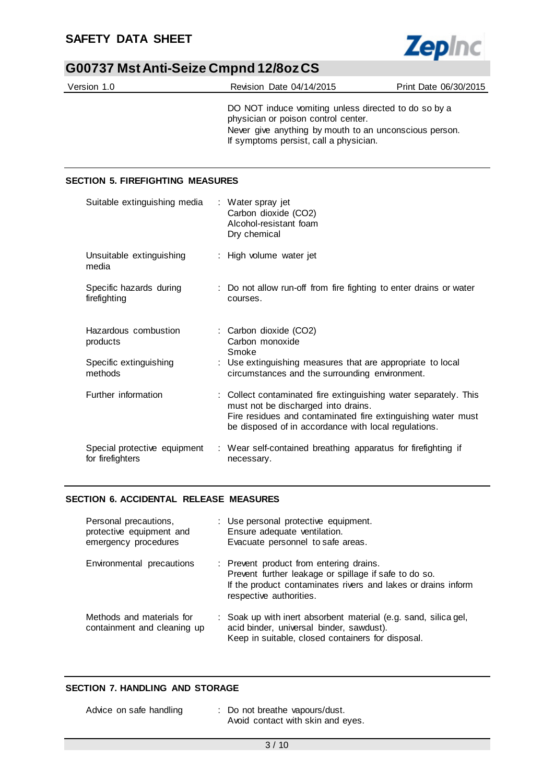

| Version 1.0 | Revision Date 04/14/2015                                                                                                                                                                        | Print Date 06/30/2015 |
|-------------|-------------------------------------------------------------------------------------------------------------------------------------------------------------------------------------------------|-----------------------|
|             | DO NOT induce vomiting unless directed to do so by a<br>physician or poison control center.<br>Never give anything by mouth to an unconscious person.<br>If symptoms persist, call a physician. |                       |

### **SECTION 5. FIREFIGHTING MEASURES**

| Suitable extinguishing media                     | : Water spray jet<br>Carbon dioxide (CO2)<br>Alcohol-resistant foam<br>Dry chemical                                                                                                                                             |
|--------------------------------------------------|---------------------------------------------------------------------------------------------------------------------------------------------------------------------------------------------------------------------------------|
| Unsuitable extinguishing<br>media                | : High volume water jet                                                                                                                                                                                                         |
| Specific hazards during<br>firefighting          | : Do not allow run-off from fire fighting to enter drains or water<br>courses.                                                                                                                                                  |
| Hazardous combustion<br>products                 | : Carbon dioxide (CO2)<br>Carbon monoxide<br>Smoke                                                                                                                                                                              |
| Specific extinguishing<br>methods                | : Use extinguishing measures that are appropriate to local<br>circumstances and the surrounding environment.                                                                                                                    |
| Further information                              | : Collect contaminated fire extinguishing water separately. This<br>must not be discharged into drains.<br>Fire residues and contaminated fire extinguishing water must<br>be disposed of in accordance with local regulations. |
| Special protective equipment<br>for firefighters | : Wear self-contained breathing apparatus for firefighting if<br>necessary.                                                                                                                                                     |

### **SECTION 6. ACCIDENTAL RELEASE MEASURES**

| Personal precautions,<br>protective equipment and<br>emergency procedures | : Use personal protective equipment.<br>Ensure adequate ventilation.<br>Evacuate personnel to safe areas.                                                                                    |
|---------------------------------------------------------------------------|----------------------------------------------------------------------------------------------------------------------------------------------------------------------------------------------|
| Environmental precautions                                                 | : Prevent product from entering drains.<br>Prevent further leakage or spillage if safe to do so.<br>If the product contaminates rivers and lakes or drains inform<br>respective authorities. |
| Methods and materials for<br>containment and cleaning up                  | : Soak up with inert absorbent material (e.g. sand, silica gel,<br>acid binder, universal binder, sawdust).<br>Keep in suitable, closed containers for disposal.                             |

## **SECTION 7. HANDLING AND STORAGE**

| Advice on safe handling | : Do not breathe vapours/dust.    |
|-------------------------|-----------------------------------|
|                         | Avoid contact with skin and eyes. |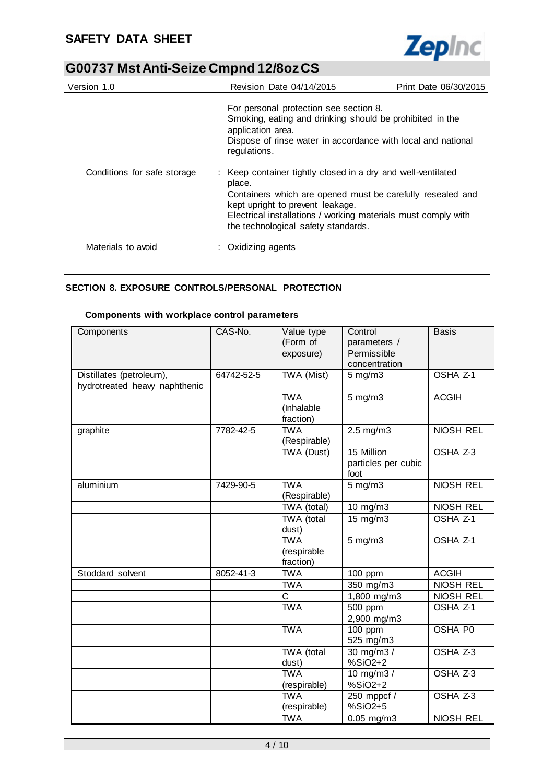

| Version 1.0                 | Revision Date 04/14/2015                                                                                                                                                                                                                                                         | Print Date 06/30/2015 |
|-----------------------------|----------------------------------------------------------------------------------------------------------------------------------------------------------------------------------------------------------------------------------------------------------------------------------|-----------------------|
|                             | For personal protection see section 8.<br>Smoking, eating and drinking should be prohibited in the<br>application area.<br>Dispose of rinse water in accordance with local and national<br>regulations.                                                                          |                       |
| Conditions for safe storage | : Keep container tightly closed in a dry and well-ventilated<br>place.<br>Containers which are opened must be carefully resealed and<br>kept upright to prevent leakage.<br>Electrical installations / working materials must comply with<br>the technological safety standards. |                       |
| Materials to avoid          | : Oxidizing agents                                                                                                                                                                                                                                                               |                       |

### **SECTION 8. EXPOSURE CONTROLS/PERSONAL PROTECTION**

### **Components with workplace control parameters**

| Components                                                | CAS-No.    | Value type<br>(Form of<br>exposure)    | Control<br>parameters /<br>Permissible<br>concentration | <b>Basis</b>        |
|-----------------------------------------------------------|------------|----------------------------------------|---------------------------------------------------------|---------------------|
| Distillates (petroleum),<br>hydrotreated heavy naphthenic | 64742-52-5 | TWA (Mist)                             | $5 \text{ mg/m}$                                        | OSHA Z-1            |
|                                                           |            | <b>TWA</b><br>(Inhalable<br>fraction)  | $5$ mg/m $3$                                            | <b>ACGIH</b>        |
| graphite                                                  | 7782-42-5  | <b>TWA</b><br>(Respirable)             | $2.5 \text{ mg/m}$                                      | <b>NIOSH REL</b>    |
|                                                           |            | TWA (Dust)                             | 15 Million<br>particles per cubic<br>foot               | OSHA Z-3            |
| aluminium                                                 | 7429-90-5  | <b>TWA</b><br>(Respirable)             | $5$ mg/m $3$                                            | <b>NIOSH REL</b>    |
|                                                           |            | TWA (total)                            | 10 mg/m3                                                | NIOSH REL           |
|                                                           |            | TWA (total<br>dust)                    | $15 \text{ mg/m}$ 3                                     | OSHA <sub>Z-1</sub> |
|                                                           |            | <b>TWA</b><br>(respirable<br>fraction) | $5 \text{ mg/m}$                                        | OSHA <sub>Z-1</sub> |
| Stoddard solvent                                          | 8052-41-3  | <b>TWA</b>                             | 100 ppm                                                 | <b>ACGIH</b>        |
|                                                           |            | <b>TWA</b>                             | 350 mg/m3                                               | NIOSH REL           |
|                                                           |            | $\mathsf{C}$                           | 1,800 mg/m3                                             | NIOSH REL           |
|                                                           |            | <b>TWA</b>                             | 500 ppm<br>2,900 mg/m3                                  | OSHA Z-1            |
|                                                           |            | <b>TWA</b>                             | 100 ppm<br>525 mg/m3                                    | OSHA P0             |
|                                                           |            | TWA (total<br>dust)                    | 30 mg/m $3/$<br>%SiO2+2                                 | OSHA <sub>Z-3</sub> |
|                                                           |            | <b>TWA</b><br>(respirable)             | 10 mg/m $3/$<br>%SiO2+2                                 | OSHA <sub>Z-3</sub> |
|                                                           |            | <b>TWA</b><br>(respirable)             | 250 mppcf /<br>%SiO2+5                                  | OSHA Z-3            |
|                                                           |            | <b>TWA</b>                             | $0.05$ mg/m $3$                                         | NIOSH REL           |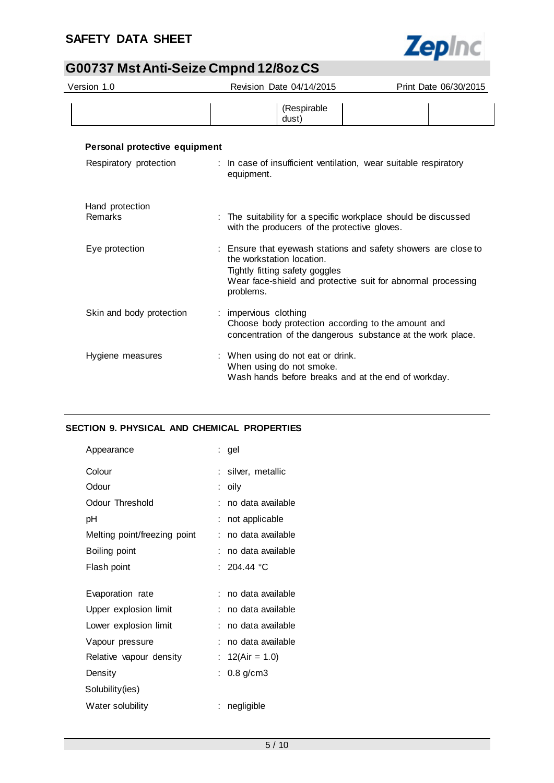

| Version 1.0                   | Revision Date 04/14/2015                                                                                                                   | Print Date 06/30/2015                                        |
|-------------------------------|--------------------------------------------------------------------------------------------------------------------------------------------|--------------------------------------------------------------|
|                               | (Respirable<br>dust)                                                                                                                       |                                                              |
| Personal protective equipment |                                                                                                                                            |                                                              |
| Respiratory protection        | : In case of insufficient ventilation, wear suitable respiratory<br>equipment.                                                             |                                                              |
| Hand protection<br>Remarks    | The suitability for a specific workplace should be discussed<br>with the producers of the protective gloves.                               |                                                              |
| Eye protection                | : Ensure that eyewash stations and safety showers are close to<br>the workstation location.<br>Tightly fitting safety goggles<br>problems. | Wear face-shield and protective suit for abnormal processing |
| Skin and body protection      | impervious clothing<br>Choose body protection according to the amount and                                                                  | concentration of the dangerous substance at the work place.  |
| Hygiene measures              | : When using do not eat or drink.<br>When using do not smoke.<br>Wash hands before breaks and at the end of workday.                       |                                                              |

### **SECTION 9. PHYSICAL AND CHEMICAL PROPERTIES**

| Appearance                   |   | : gel                 |
|------------------------------|---|-----------------------|
| Colour                       |   | : silver, metallic    |
| Odour                        |   | oily                  |
| Odour Threshold              |   | no data available     |
| рH                           |   | not applicable        |
| Melting point/freezing point |   | no data available     |
| Boiling point                |   | no data available     |
| Flash point                  |   | : 204.44 °C           |
|                              |   |                       |
| Evaporation rate             |   | : no data available   |
| Upper explosion limit        | ÷ | no data available     |
| Lower explosion limit        |   | no data available     |
| Vapour pressure              |   | no data available     |
| Relative vapour density      |   | : $12(Air = 1.0)$     |
| Density                      |   | : $0.8 \text{ g/cm}3$ |
| Solubility(ies)              |   |                       |
| Water solubility             |   | negligible            |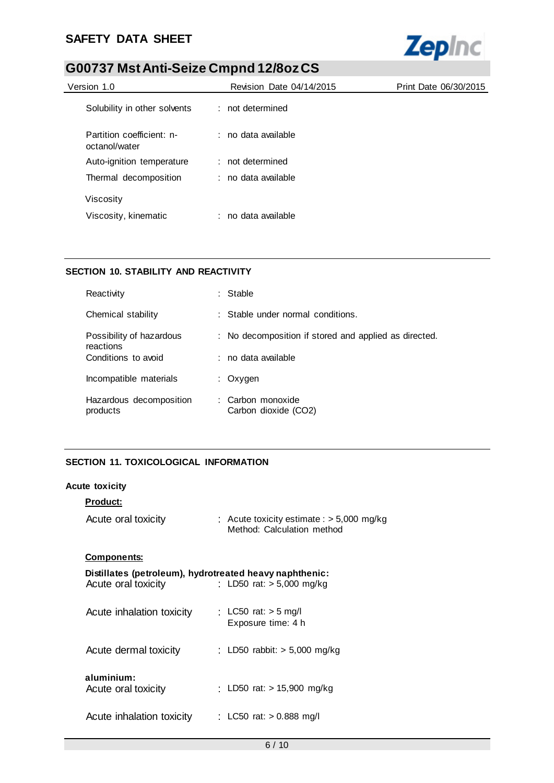$\overline{\phantom{0}}$ 



# **G00737 Mst Anti-Seize Cmpnd 12/8oz CS**

| Version 1.0                                | Revision Date 04/14/2015 | Print Date 06/30/2015 |
|--------------------------------------------|--------------------------|-----------------------|
| Solubility in other solvents               | : not determined         |                       |
| Partition coefficient: n-<br>octanol/water | $:$ no data available    |                       |
| Auto-ignition temperature                  | : not determined         |                       |
| Thermal decomposition                      | : no data available      |                       |
| Viscosity                                  |                          |                       |
| Viscosity, kinematic                       | $:$ no data available    |                       |

### **SECTION 10. STABILITY AND REACTIVITY**

| Reactivity                            | : Stable                                              |
|---------------------------------------|-------------------------------------------------------|
| Chemical stability                    | : Stable under normal conditions.                     |
| Possibility of hazardous<br>reactions | : No decomposition if stored and applied as directed. |
| Conditions to avoid                   | : no data available                                   |
| Incompatible materials                | : Oxygen                                              |
| Hazardous decomposition<br>products   | : Carbon monoxide<br>Carbon dioxide (CO2)             |

### **SECTION 11. TOXICOLOGICAL INFORMATION**

### **Acute toxicity**

| <b>Product:</b>                                                                |                                                                           |
|--------------------------------------------------------------------------------|---------------------------------------------------------------------------|
| Acute oral toxicity                                                            | : Acute toxicity estimate : $>$ 5,000 mg/kg<br>Method: Calculation method |
| <u>Components:</u>                                                             |                                                                           |
| Distillates (petroleum), hydrotreated heavy naphthenic:<br>Acute oral toxicity | : LD50 rat: $> 5,000$ mg/kg                                               |
| Acute inhalation toxicity                                                      | : LC50 rat: $>$ 5 mg/l<br>Exposure time: 4 h                              |
| Acute dermal toxicity                                                          | : LD50 rabbit: $>$ 5,000 mg/kg                                            |
| aluminium:<br>Acute oral toxicity                                              | : LD50 rat: > 15,900 mg/kg                                                |
| Acute inhalation toxicity                                                      | : LC50 rat: $> 0.888$ mg/l                                                |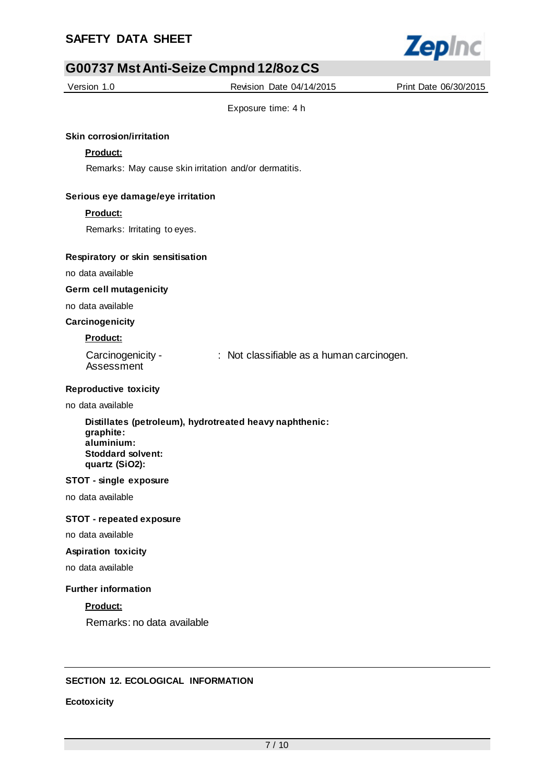

| <b>GUU/3/ MISTANTI-SEIZE UMPNO 12/802 US</b>                                                                                     |                                           |                       |
|----------------------------------------------------------------------------------------------------------------------------------|-------------------------------------------|-----------------------|
| Version 1.0                                                                                                                      | Revision Date 04/14/2015                  | Print Date 06/30/2015 |
|                                                                                                                                  | Exposure time: 4 h                        |                       |
|                                                                                                                                  |                                           |                       |
| <b>Skin corrosion/irritation</b>                                                                                                 |                                           |                       |
| Product:                                                                                                                         |                                           |                       |
| Remarks: May cause skin irritation and/or dermatitis.                                                                            |                                           |                       |
| Serious eye damage/eye irritation                                                                                                |                                           |                       |
| Product:                                                                                                                         |                                           |                       |
| Remarks: Irritating to eyes.                                                                                                     |                                           |                       |
| Respiratory or skin sensitisation                                                                                                |                                           |                       |
| no data available                                                                                                                |                                           |                       |
| <b>Germ cell mutagenicity</b>                                                                                                    |                                           |                       |
| no data available                                                                                                                |                                           |                       |
| Carcinogenicity                                                                                                                  |                                           |                       |
| Product:                                                                                                                         |                                           |                       |
| Carcinogenicity -<br>Assessment                                                                                                  | : Not classifiable as a human carcinogen. |                       |
| <b>Reproductive toxicity</b>                                                                                                     |                                           |                       |
| no data available                                                                                                                |                                           |                       |
| Distillates (petroleum), hydrotreated heavy naphthenic:<br>graphite:<br>aluminium:<br><b>Stoddard solvent:</b><br>quartz (SiO2): |                                           |                       |
| STOT - single exposure                                                                                                           |                                           |                       |
| no data available                                                                                                                |                                           |                       |
| <b>STOT - repeated exposure</b>                                                                                                  |                                           |                       |
| no data available                                                                                                                |                                           |                       |
| <b>Aspiration toxicity</b>                                                                                                       |                                           |                       |
| no data available                                                                                                                |                                           |                       |
| <b>Further information</b>                                                                                                       |                                           |                       |
| Product:                                                                                                                         |                                           |                       |
| Remarks: no data available                                                                                                       |                                           |                       |
|                                                                                                                                  |                                           |                       |
| <b>SECTION 12. ECOLOGICAL INFORMATION</b>                                                                                        |                                           |                       |

## **Ecotoxicity**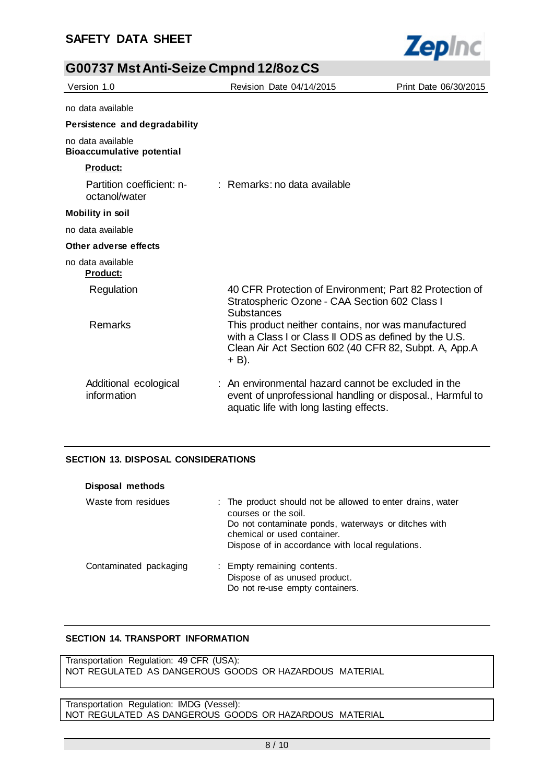

| Version 1.0                                           | Revision Date 04/14/2015                                                                                                                                                       | Print Date 06/30/2015 |
|-------------------------------------------------------|--------------------------------------------------------------------------------------------------------------------------------------------------------------------------------|-----------------------|
| no data available                                     |                                                                                                                                                                                |                       |
| Persistence and degradability                         |                                                                                                                                                                                |                       |
| no data available<br><b>Bioaccumulative potential</b> |                                                                                                                                                                                |                       |
| <b>Product:</b>                                       |                                                                                                                                                                                |                       |
| Partition coefficient: n-<br>octanol/water            | $:$ Remarks: no data available                                                                                                                                                 |                       |
| <b>Mobility in soil</b>                               |                                                                                                                                                                                |                       |
| no data available                                     |                                                                                                                                                                                |                       |
| Other adverse effects                                 |                                                                                                                                                                                |                       |
| no data available<br><b>Product:</b>                  |                                                                                                                                                                                |                       |
| Regulation                                            | 40 CFR Protection of Environment: Part 82 Protection of<br>Stratospheric Ozone - CAA Section 602 Class I<br><b>Substances</b>                                                  |                       |
| <b>Remarks</b>                                        | This product neither contains, nor was manufactured<br>with a Class I or Class II ODS as defined by the U.S.<br>Clean Air Act Section 602 (40 CFR 82, Subpt. A, App.A<br>+ B). |                       |
| Additional ecological<br>information                  | $\pm$ An environmental hazard cannot be excluded in the<br>event of unprofessional handling or disposal., Harmful to<br>aquatic life with long lasting effects.                |                       |

### **SECTION 13. DISPOSAL CONSIDERATIONS**

| Disposal methods       |                                                                                                                                                                                                                              |
|------------------------|------------------------------------------------------------------------------------------------------------------------------------------------------------------------------------------------------------------------------|
| Waste from residues    | : The product should not be allowed to enter drains, water<br>courses or the soil.<br>Do not contaminate ponds, waterways or ditches with<br>chemical or used container.<br>Dispose of in accordance with local regulations. |
| Contaminated packaging | : Empty remaining contents.<br>Dispose of as unused product.<br>Do not re-use empty containers.                                                                                                                              |

### **SECTION 14. TRANSPORT INFORMATION**

Transportation Regulation: 49 CFR (USA): NOT REGULATED AS DANGEROUS GOODS OR HAZARDOUS MATERIAL

Transportation Regulation: IMDG (Vessel): NOT REGULATED AS DANGEROUS GOODS OR HAZARDOUS MATERIAL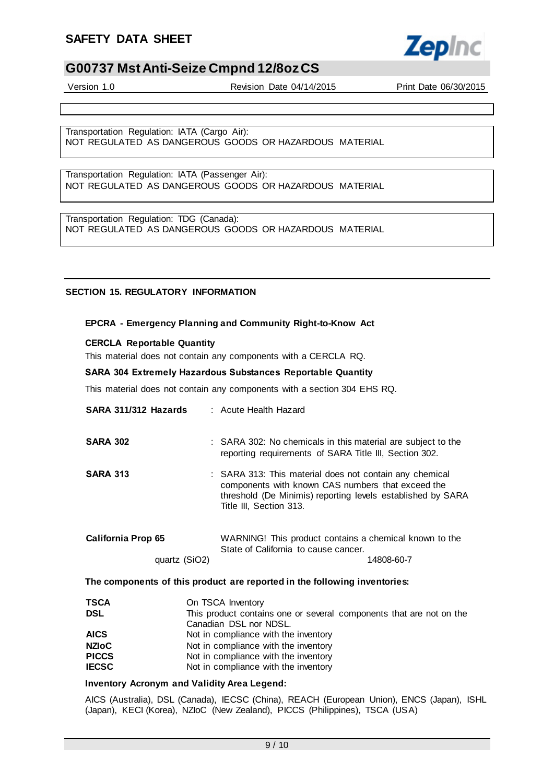## **SAFETY DATA SHEET**



## **G00737 Mst Anti-Seize Cmpnd 12/8oz CS**

Version 1.0 Revision Date 04/14/2015 Print Date 06/30/2015

Transportation Regulation: IATA (Cargo Air): NOT REGULATED AS DANGEROUS GOODS OR HAZARDOUS MATERIAL

Transportation Regulation: IATA (Passenger Air): NOT REGULATED AS DANGEROUS GOODS OR HAZARDOUS MATERIAL

Transportation Regulation: TDG (Canada): NOT REGULATED AS DANGEROUS GOODS OR HAZARDOUS MATERIAL

### **SECTION 15. REGULATORY INFORMATION**

#### **EPCRA - Emergency Planning and Community Right-to-Know Act**

#### **CERCLA Reportable Quantity**

This material does not contain any components with a CERCLA RQ.

#### **SARA 304 Extremely Hazardous Substances Reportable Quantity**

This material does not contain any components with a section 304 EHS RQ.

| SARA 311/312 Hazards      |               | : Acute Health Hazard                                                                                                                                                                                  |
|---------------------------|---------------|--------------------------------------------------------------------------------------------------------------------------------------------------------------------------------------------------------|
| <b>SARA 302</b>           |               | : SARA 302: No chemicals in this material are subject to the<br>reporting requirements of SARA Title III, Section 302.                                                                                 |
| <b>SARA 313</b>           |               | : SARA 313: This material does not contain any chemical<br>components with known CAS numbers that exceed the<br>threshold (De Minimis) reporting levels established by SARA<br>Title III, Section 313. |
| <b>California Prop 65</b> | quartz (SiO2) | WARNING! This product contains a chemical known to the<br>State of California to cause cancer.<br>14808-60-7                                                                                           |

#### **The components of this product are reported in the following inventories:**

| <b>TSCA</b>  | On TSCA Inventory                                                   |
|--------------|---------------------------------------------------------------------|
| <b>DSL</b>   | This product contains one or several components that are not on the |
|              | Canadian DSL nor NDSL.                                              |
| <b>AICS</b>  | Not in compliance with the inventory                                |
| <b>NZIOC</b> | Not in compliance with the inventory                                |
| <b>PICCS</b> | Not in compliance with the inventory                                |
| <b>IECSC</b> | Not in compliance with the inventory                                |

#### **Inventory Acronym and Validity Area Legend:**

AICS (Australia), DSL (Canada), IECSC (China), REACH (European Union), ENCS (Japan), ISHL (Japan), KECI (Korea), NZIoC (New Zealand), PICCS (Philippines), TSCA (USA)